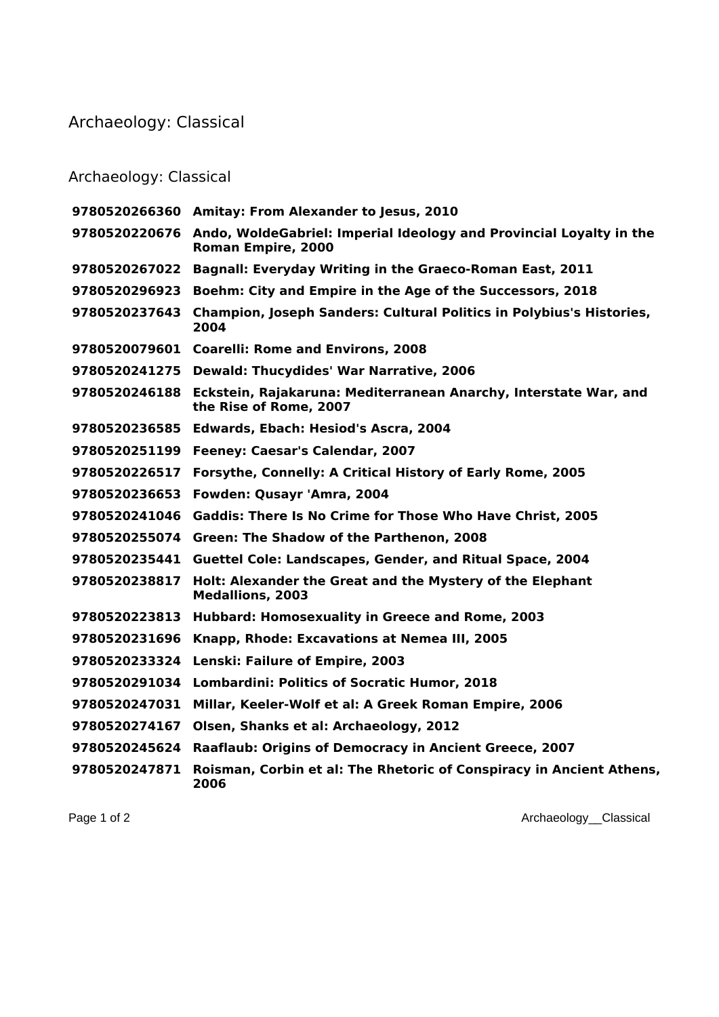## Archaeology: Classical

## Archaeology: Classical

|               | 9780520266360 Amitay: From Alexander to Jesus, 2010                                                     |
|---------------|---------------------------------------------------------------------------------------------------------|
|               | 9780520220676 Ando, WoldeGabriel: Imperial Ideology and Provincial Loyalty in the<br>Roman Empire, 2000 |
| 9780520267022 | Bagnall: Everyday Writing in the Graeco-Roman East, 2011                                                |
| 9780520296923 | Boehm: City and Empire in the Age of the Successors, 2018                                               |
| 9780520237643 | Champion, Joseph Sanders: Cultural Politics in Polybius's Histories,<br>2004                            |
| 9780520079601 | <b>Coarelli: Rome and Environs, 2008</b>                                                                |
| 9780520241275 | <b>Dewald: Thucydides' War Narrative, 2006</b>                                                          |
| 9780520246188 | Eckstein, Rajakaruna: Mediterranean Anarchy, Interstate War, and<br>the Rise of Rome, 2007              |
| 9780520236585 | Edwards, Ebach: Hesiod's Ascra, 2004                                                                    |
| 9780520251199 | Feeney: Caesar's Calendar, 2007                                                                         |
| 9780520226517 | Forsythe, Connelly: A Critical History of Early Rome, 2005                                              |
| 9780520236653 | Fowden: Qusayr 'Amra, 2004                                                                              |
| 9780520241046 | <b>Gaddis: There Is No Crime for Those Who Have Christ, 2005</b>                                        |
| 9780520255074 | Green: The Shadow of the Parthenon, 2008                                                                |
| 9780520235441 | Guettel Cole: Landscapes, Gender, and Ritual Space, 2004                                                |
| 9780520238817 | Holt: Alexander the Great and the Mystery of the Elephant<br><b>Medallions, 2003</b>                    |
| 9780520223813 | Hubbard: Homosexuality in Greece and Rome, 2003                                                         |
| 9780520231696 | Knapp, Rhode: Excavations at Nemea III, 2005                                                            |
| 9780520233324 | Lenski: Failure of Empire, 2003                                                                         |
| 9780520291034 | <b>Lombardini: Politics of Socratic Humor, 2018</b>                                                     |
| 9780520247031 | Millar, Keeler-Wolf et al: A Greek Roman Empire, 2006                                                   |
| 9780520274167 | Olsen, Shanks et al: Archaeology, 2012                                                                  |
| 9780520245624 | Raaflaub: Origins of Democracy in Ancient Greece, 2007                                                  |
| 9780520247871 | Roisman, Corbin et al: The Rhetoric of Conspiracy in Ancient Athens,<br>2006                            |

Page 1 of 2 Archaeology\_Classical